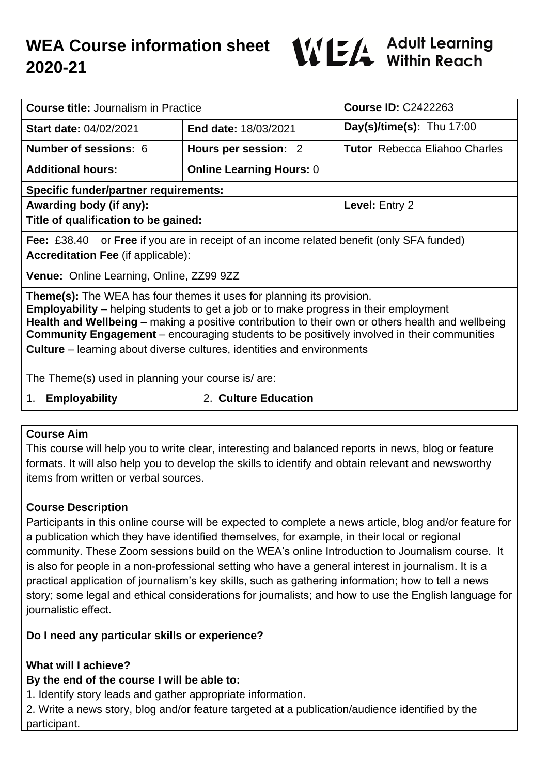# **WEA Course information sheet 2020-21**



| <b>Course title: Journalism in Practice</b>                                                                                                                                                                                                                                                                                                                                                                                                                             |                                 | <b>Course ID: C2422263</b>           |
|-------------------------------------------------------------------------------------------------------------------------------------------------------------------------------------------------------------------------------------------------------------------------------------------------------------------------------------------------------------------------------------------------------------------------------------------------------------------------|---------------------------------|--------------------------------------|
| <b>Start date: 04/02/2021</b>                                                                                                                                                                                                                                                                                                                                                                                                                                           | End date: 18/03/2021            | Day(s)/time(s): Thu $17:00$          |
| <b>Number of sessions: 6</b>                                                                                                                                                                                                                                                                                                                                                                                                                                            | Hours per session: 2            | <b>Tutor</b> Rebecca Eliahoo Charles |
| <b>Additional hours:</b>                                                                                                                                                                                                                                                                                                                                                                                                                                                | <b>Online Learning Hours: 0</b> |                                      |
| <b>Specific funder/partner requirements:</b>                                                                                                                                                                                                                                                                                                                                                                                                                            |                                 |                                      |
| Awarding body (if any):                                                                                                                                                                                                                                                                                                                                                                                                                                                 |                                 | Level: Entry 2                       |
| Title of qualification to be gained:                                                                                                                                                                                                                                                                                                                                                                                                                                    |                                 |                                      |
| <b>Fee:</b> £38.40 or <b>Free</b> if you are in receipt of an income related benefit (only SFA funded)                                                                                                                                                                                                                                                                                                                                                                  |                                 |                                      |
| <b>Accreditation Fee (if applicable):</b>                                                                                                                                                                                                                                                                                                                                                                                                                               |                                 |                                      |
| Venue: Online Learning, Online, ZZ99 9ZZ                                                                                                                                                                                                                                                                                                                                                                                                                                |                                 |                                      |
| <b>Theme(s):</b> The WEA has four themes it uses for planning its provision.<br><b>Employability</b> – helping students to get a job or to make progress in their employment<br>Health and Wellbeing – making a positive contribution to their own or others health and wellbeing<br><b>Community Engagement</b> – encouraging students to be positively involved in their communities<br><b>Culture</b> – learning about diverse cultures, identities and environments |                                 |                                      |
| The Theme(s) used in planning your course is/are:                                                                                                                                                                                                                                                                                                                                                                                                                       |                                 |                                      |

1. **Employability** 2. **Culture Education**

#### **Course Aim**

This course will help you to write clear, interesting and balanced reports in news, blog or feature formats. It will also help you to develop the skills to identify and obtain relevant and newsworthy items from written or verbal sources.

#### **Course Description**

Participants in this online course will be expected to complete a news article, blog and/or feature for a publication which they have identified themselves, for example, in their local or regional community. These Zoom sessions build on the WEA's online Introduction to Journalism course. It is also for people in a non-professional setting who have a general interest in journalism. It is a practical application of journalism's key skills, such as gathering information; how to tell a news story; some legal and ethical considerations for journalists; and how to use the English language for journalistic effect.

#### **Do I need any particular skills or experience?**

# **What will I achieve?**

# **By the end of the course I will be able to:**

1. Identify story leads and gather appropriate information.

2. Write a news story, blog and/or feature targeted at a publication/audience identified by the participant.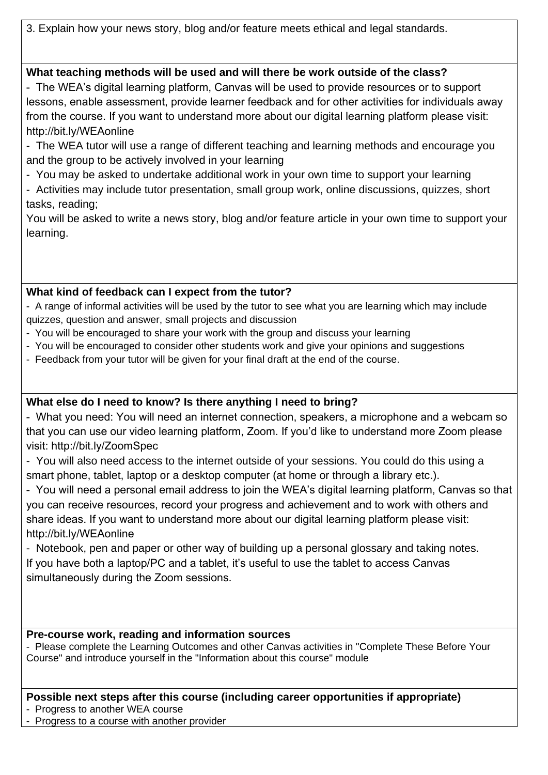3. Explain how your news story, blog and/or feature meets ethical and legal standards.

# **What teaching methods will be used and will there be work outside of the class?**

- The WEA's digital learning platform, Canvas will be used to provide resources or to support lessons, enable assessment, provide learner feedback and for other activities for individuals away from the course. If you want to understand more about our digital learning platform please visit: http://bit.ly/WEAonline

- The WEA tutor will use a range of different teaching and learning methods and encourage you and the group to be actively involved in your learning

- You may be asked to undertake additional work in your own time to support your learning

- Activities may include tutor presentation, small group work, online discussions, quizzes, short tasks, reading;

You will be asked to write a news story, blog and/or feature article in your own time to support your learning.

# **What kind of feedback can I expect from the tutor?**

- A range of informal activities will be used by the tutor to see what you are learning which may include quizzes, question and answer, small projects and discussion

- You will be encouraged to share your work with the group and discuss your learning
- You will be encouraged to consider other students work and give your opinions and suggestions
- Feedback from your tutor will be given for your final draft at the end of the course.

# **What else do I need to know? Is there anything I need to bring?**

- What you need: You will need an internet connection, speakers, a microphone and a webcam so that you can use our video learning platform, Zoom. If you'd like to understand more Zoom please visit: http://bit.ly/ZoomSpec

- You will also need access to the internet outside of your sessions. You could do this using a smart phone, tablet, laptop or a desktop computer (at home or through a library etc.).

- You will need a personal email address to join the WEA's digital learning platform, Canvas so that you can receive resources, record your progress and achievement and to work with others and share ideas. If you want to understand more about our digital learning platform please visit: http://bit.ly/WEAonline

- Notebook, pen and paper or other way of building up a personal glossary and taking notes. If you have both a laptop/PC and a tablet, it's useful to use the tablet to access Canvas simultaneously during the Zoom sessions.

# **Pre-course work, reading and information sources**

- Please complete the Learning Outcomes and other Canvas activities in "Complete These Before Your Course" and introduce yourself in the "Information about this course" module

# **Possible next steps after this course (including career opportunities if appropriate)**

- Progress to another WEA course

- Progress to a course with another provider